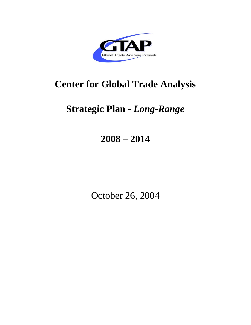

# **Center for Global Trade Analysis**

# **Strategic Plan -** *Long-Range*

# **2008 – 2014**

October 26, 2004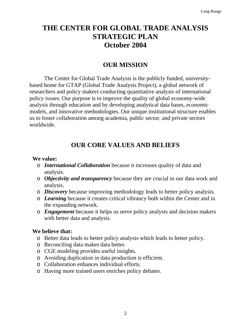# **THE CENTER FOR GLOBAL TRADE ANALYSIS STRATEGIC PLAN October 2004**

# **OUR MISSION**

The Center for Global Trade Analysis is the publicly funded, universitybased home for GTAP (Global Trade Analysis Project), a global network of researchers and policy makers conducting quantitative analysis of international policy issues. Our purpose is to improve the quality of global economy-wide analysis through education and by developing analytical data bases, economic models, and innovative methodologies. Our unique institutional structure enables us to foster collaboration among academia, public sector, and private sectors worldwide.

# **OUR CORE VALUES AND BELIEFS**

### **We value:**

- o *International Collaboration* because it increases quality of data and analysis.
- o *Objectivity and transparency* because they are crucial to our data work and analysis.
- o *Discovery* because improving methodology leads to better policy analysis*.*
- o *Learning* because it creates critical vibrancy both within the Center and in the expanding network.
- o *Engagement* because it helps us serve policy analysts and decision makers with better data and analysis.

### **We believe that:**

- o Better data leads to better policy analysis which leads to better policy.
- o Reconciling data makes data better.
- o CGE modeling provides useful insights.
- o Avoiding duplication in data production is efficient.
- o Collaboration enhances individual efforts.
- o Having more trained users enriches policy debates.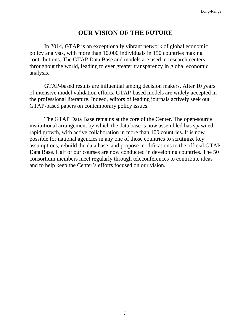# **OUR VISION OF THE FUTURE**

In 2014, GTAP is an exceptionally vibrant network of global economic policy analysts, with more than 10,000 individuals in 150 countries making contributions. The GTAP Data Base and models are used in research centers throughout the world, leading to ever greater transparency in global economic analysis.

GTAP-based results are influential among decision makers. After 10 years of intensive model validation efforts, GTAP-based models are widely accepted in the professional literature. Indeed, editors of leading journals actively seek out GTAP-based papers on contemporary policy issues.

The GTAP Data Base remains at the core of the Center. The open-source institutional arrangement by which the data base is now assembled has spawned rapid growth, with active collaboration in more than 100 countries. It is now possible for national agencies in any one of those countries to scrutinize key assumptions, rebuild the data base, and propose modifications to the official GTAP Data Base. Half of our courses are now conducted in developing countries. The 50 consortium members meet regularly through teleconferences to contribute ideas and to help keep the Center's efforts focused on our vision.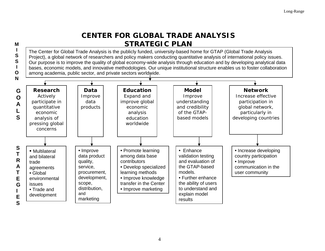# **CENTER FOR GLOBAL TRADE ANALYSIS STRATEGIC PLAN**

**MI SS IO**

The Center for Global Trade Analysis is the publicly funded, university-based home for GTAP (Global Trade Analysis Project), a global network of researchers and policy makers conducting quantitative analysis of international policy issues. Our purpose is to improve the quality of global economy-wide analysis through education and by developing analytical data bases, economic models, and innovative methodologies. Our unique institutional structure enables us to foster collaboration among academia, public sector, and private sectors worldwide.

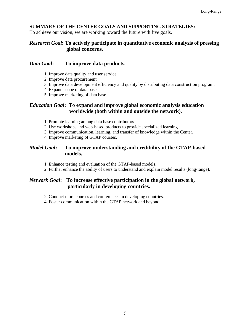#### **SUMMARY OF THE CENTER GOALS AND SUPPORTING STRATEGIES:**

To achieve our vision, we are working toward the future with five goals.

#### *Research Goal***: To actively participate in quantitative economic analysis of pressing global concerns.**

#### *Data Goal***: To improve data products.**

- 1. Improve data quality and user service.
- 2. Improve data procurement.
- 3. Improve data development efficiency and quality by distributing data construction program.
- 4. Expand scope of data base.
- 5. Improve marketing of data base.

#### *Education Goal***: To expand and improve global economic analysis education worldwide (both within and outside the network).**

- 1. Promote learning among data base contributors.
- 2. Use workshops and web-based products to provide specialized learning.
- 3. Improve communication, learning, and transfer of knowledge within the Center.
- 4. Improve marketing of GTAP courses.

#### *Model Goal***: To improve understanding and credibility of the GTAP-based models.**

- 1. Enhance testing and evaluation of the GTAP-based models.
- 2. Further enhance the ability of users to understand and explain model results (long-range).

#### *Network Goal***: To increase effective participation in the global network, particularly in developing countries.**

- 2. Conduct more courses and conferences in developing countries.
- 4. Foster communication within the GTAP network and beyond.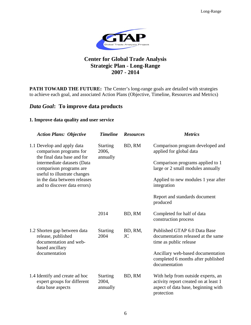

## **Center for Global Trade Analysis Strategic Plan - Long-Range 2007 - 2014**

PATH TOWARD THE FUTURE: The Center's long-range goals are detailed with strategies to achieve each goal, and associated Action Plans (Objective, Timeline, Resources and Metrics)

#### *Data Goal***: To improve data products**

#### **1. Improve data quality and user service**

| <b>Action Plans: Objective</b>                                                                  | <b>Timeline</b>                      | <b>Resources</b>     | <b>Metrics</b>                                                                                                                   |
|-------------------------------------------------------------------------------------------------|--------------------------------------|----------------------|----------------------------------------------------------------------------------------------------------------------------------|
| 1.1 Develop and apply data<br>comparison programs for<br>the final data base and for            | <b>Starting</b><br>2006,<br>annually | BD, RM               | Comparison program developed and<br>applied for global data                                                                      |
| intermediate datasets (Data<br>comparison programs are<br>useful to illustrate changes          |                                      |                      | Comparison programs applied to 1<br>large or 2 small modules annually                                                            |
| in the data between releases<br>and to discover data errors)                                    |                                      |                      | Applied to new modules 1 year after<br>integration                                                                               |
|                                                                                                 |                                      |                      | Report and standards document<br>produced                                                                                        |
|                                                                                                 | 2014                                 | BD, RM               | Completed for half of data<br>construction process                                                                               |
| 1.2 Shorten gap between data<br>release, published<br>documentation and web-<br>based ancillary | <b>Starting</b><br>2004              | BD, RM,<br><b>JC</b> | Published GTAP 6.0 Data Base<br>documentation released at the same<br>time as public release                                     |
| documentation                                                                                   |                                      |                      | Ancillary web-based documentation<br>completed 6 months after published<br>documentation                                         |
| 1.4 Identify and create ad hoc<br>expert groups for different<br>data base aspects              | <b>Starting</b><br>2004,<br>annually | BD, RM               | With help from outside experts, an<br>activity report created on at least 1<br>aspect of data base, beginning with<br>protection |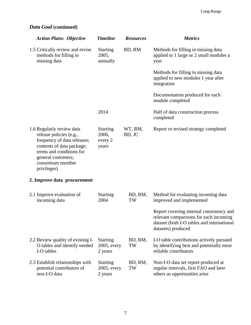# *Data Goal* **(continued)**

| <b>Action Plans: Objective</b>                                                                                                                                                                         | <b>Timeline</b>                              | <b>Resources</b>  | <b>Metrics</b>                                                                                                                                         |
|--------------------------------------------------------------------------------------------------------------------------------------------------------------------------------------------------------|----------------------------------------------|-------------------|--------------------------------------------------------------------------------------------------------------------------------------------------------|
| 1.5 Critically review and revise<br>methods for filling in<br>missing data                                                                                                                             | <b>Starting</b><br>2005,<br>annually         | BD, RM            | Methods for filling in missing data<br>applied to 1 large or 2 small modules a<br>year                                                                 |
|                                                                                                                                                                                                        |                                              |                   | Methods for filling in missing data<br>applied to new modules 1 year after<br>integration                                                              |
|                                                                                                                                                                                                        |                                              |                   | Documentation produced for each<br>module completed                                                                                                    |
|                                                                                                                                                                                                        | 2014                                         |                   | Half of data construction process<br>completed                                                                                                         |
| 1.6 Regularly review data<br>release policies (e.g.,<br>frequency of data releases;<br>contents of data package;<br>terms and conditions for<br>general customers;<br>consortium member<br>privileges) | <b>Starting</b><br>2006,<br>every 2<br>years | WT, RM,<br>BD, JC | Report or revised strategy completed                                                                                                                   |
| 2. Improve data procurement                                                                                                                                                                            |                                              |                   |                                                                                                                                                        |
| 2.1 Improve evaluation of<br>incoming data                                                                                                                                                             | <b>Starting</b><br>2004                      | BD, RM,<br>TW     | Method for evaluating incoming data<br>improved and implemented                                                                                        |
|                                                                                                                                                                                                        |                                              |                   | Report covering internal consistency and<br>relevant comparisons for each incoming<br>dataset (both I-O tables and international<br>datasets) produced |
| 2.2 Review quality of existing I-<br>O tables and identify needed<br>I-O tables                                                                                                                        | <b>Starting</b><br>$2005$ , every<br>2 years | BD, RM,<br>TW     | I-O table contributions actively pursued<br>by identifying best and potentially most<br>reliable contributors                                          |
| 2.3 Establish relationships with<br>potential contributors of<br>non-I-O data                                                                                                                          | <b>Starting</b><br>2005, every<br>2 years    | BD, RM,<br>TW     | Non-I-O data set report produced at<br>regular intervals, first FAO and later<br>others as opportunities arise                                         |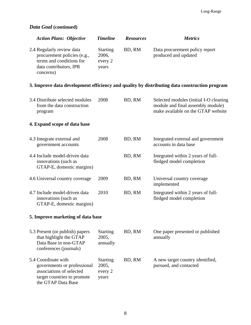# *Data Goal* **(continued)**

|                                                                  | <b>Action Plans: Objective</b>                                                         | <b>Timeline</b>                              | <b>Resources</b> | <b>Metrics</b>                                                                                                    |
|------------------------------------------------------------------|----------------------------------------------------------------------------------------|----------------------------------------------|------------------|-------------------------------------------------------------------------------------------------------------------|
| 2.4 Regularly review data<br>data contributors, IPR<br>concerns) | procurement policies (e.g.,<br>terms and conditions for                                | <b>Starting</b><br>2006,<br>every 2<br>years | BD, RM           | Data procurement policy report<br>produced and updated                                                            |
|                                                                  |                                                                                        |                                              |                  | 3. Improve data development efficiency and quality by distributing data construction program                      |
| program                                                          | 3.4 Distribute selected modules<br>from the data construction                          | 2008                                         | BD, RM           | Selected modules (initial I-O cleaning<br>module and final assembly module)<br>make available on the GTAP website |
|                                                                  | 4. Expand scope of data base                                                           |                                              |                  |                                                                                                                   |
| 4.3 Integrate external and<br>government accounts                |                                                                                        | 2008                                         | BD, RM           | Integrated external and government<br>accounts in data base                                                       |
| innovations (such as                                             | 4.4 Include model-driven data<br>GTAP-E, domestic margins)                             |                                              | BD, RM           | Integrated within 2 years of full-<br>fledged model completion                                                    |
|                                                                  | 4.6 Universal country coverage                                                         | 2009                                         | BD, RM           | Universal country coverage<br>implemented                                                                         |
| innovations (such as                                             | 4.7 Include model-driven data<br>GTAP-E, domestic margins)                             | 2010                                         | BD, RM           | Integrated within 2 years of full-<br>fledged model completion                                                    |
|                                                                  | 5. Improve marketing of data base                                                      |                                              |                  |                                                                                                                   |
| conferences (journals)                                           | 5.3 Present (or publish) papers<br>that highlight the GTAP<br>Data Base in non-GTAP    | <b>Starting</b><br>2005,<br>annually         | BD, RM           | One paper presented or published<br>annually                                                                      |
| 5.4 Coordinate with<br>the GTAP Data Base                        | governments or professional<br>associations of selected<br>target countries to promote | <b>Starting</b><br>2005,<br>every 2<br>years | BD, RM           | A new target country identified,<br>pursued, and contacted                                                        |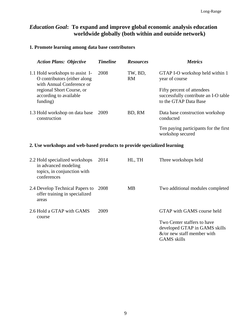# *Education Goal***: To expand and improve global economic analysis education worldwide globally (both within and outside network)**

#### **1. Promote learning among data base contributors**

| <b>Action Plans: Objective</b>                                                                | <b>Timeline</b> | <b>Resources</b>     | <i>Metrics</i>                                                                              |
|-----------------------------------------------------------------------------------------------|-----------------|----------------------|---------------------------------------------------------------------------------------------|
| 1.1 Hold workshops to assist I-<br>O contributors (either along)<br>with Annual Conference or | 2008            | TW, BD,<br><b>RM</b> | GTAP I-O workshop held within 1<br>year of course                                           |
| regional Short Course, or<br>according to available<br>funding)                               |                 |                      | Fifty percent of attendees<br>successfully contribute an I-O table<br>to the GTAP Data Base |
| 1.3 Hold workshop on data base<br>construction                                                | 2009            | BD, RM               | Data base construction workshop<br>conducted                                                |
|                                                                                               |                 |                      | Ten paying participants for the first<br>workshop secured                                   |

#### **2. Use workshops and web-based products to provide specialized learning**

| 2.2 Hold specialized workshops<br>in advanced modeling<br>topics, in conjunction with<br>conferences | 2014 | HL, TH | Three workshops held                                                                                                                               |
|------------------------------------------------------------------------------------------------------|------|--------|----------------------------------------------------------------------------------------------------------------------------------------------------|
| 2.4 Develop Technical Papers to<br>offer training in specialized<br>areas                            | 2008 | MB.    | Two additional modules completed                                                                                                                   |
| 2.6 Hold a GTAP with GAMS<br>course                                                                  | 2009 |        | GTAP with GAMS course held<br>Two Center staffers to have<br>developed GTAP in GAMS skills<br>$\&$ /or new staff member with<br><b>GAMS</b> skills |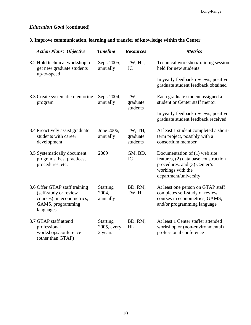### *Education Goal* **(continued)**

# **3. Improve communication, learning and transfer of knowledge within the Center**

| <b>Action Plans: Objective</b>                                                                                        | <b>Timeline</b>                           | <b>Resources</b>                | <b>Metrics</b>                                                                                                                                      |
|-----------------------------------------------------------------------------------------------------------------------|-------------------------------------------|---------------------------------|-----------------------------------------------------------------------------------------------------------------------------------------------------|
| 3.2 Hold technical workshop to<br>get new graduate students<br>up-to-speed                                            | Sept. 2005,<br>annually                   | TW, HL,<br><b>JC</b>            | Technical workshop/training session<br>held for new students                                                                                        |
|                                                                                                                       |                                           |                                 | In yearly feedback reviews, positive<br>graduate student feedback obtained                                                                          |
| 3.3 Create systematic mentoring<br>program                                                                            | Sept. 2004,<br>annually                   | TW,<br>graduate                 | Each graduate student assigned a<br>student or Center staff mentor                                                                                  |
|                                                                                                                       |                                           | students                        | In yearly feedback reviews, positive<br>graduate student feedback received                                                                          |
| 3.4 Proactively assist graduate<br>students with career<br>development                                                | June 2006,<br>annually                    | TW, TH,<br>graduate<br>students | At least 1 student completed a short-<br>term project, possibly with a<br>consortium member                                                         |
| 3.5 Systematically document<br>programs, best practices,<br>procedures, etc.                                          | 2009                                      | GM, BD,<br><b>JC</b>            | Documentation of (1) web site<br>features, (2) data base construction<br>procedures, and (3) Center's<br>workings with the<br>department/university |
| 3.6 Offer GTAP staff training<br>(self-study or review<br>courses) in econometrics,<br>GAMS, programming<br>languages | <b>Starting</b><br>2004,<br>annually      | BD, RM,<br>TW, HL               | At least one person on GTAP staff<br>completes self-study or review<br>courses in econometrics, GAMS,<br>and/or programming language                |
| 3.7 GTAP staff attend<br>professional<br>workshops/conference<br>(other than GTAP)                                    | <b>Starting</b><br>2005, every<br>2 years | BD, RM,<br>HL                   | At least 1 Center staffer attended<br>workshop or (non-environmental)<br>professional conference                                                    |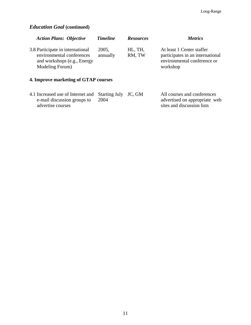# *Education Goal* **(continued)**

| <b>Action Plans: Objective</b>                                                                                  | <b>Timeline</b>   | <b>Resources</b>  | <i>Metrics</i>                                                                                           |
|-----------------------------------------------------------------------------------------------------------------|-------------------|-------------------|----------------------------------------------------------------------------------------------------------|
| 3.8 Participate in international<br>environmental conferences<br>and workshops (e.g., Energy<br>Modeling Forum) | 2005,<br>annually | HL, TH,<br>RM, TW | At least 1 Center staffer<br>participates in an international<br>environmental conference or<br>workshop |

# **4. Improve marketing of GTAP courses**

| 4.1 Increased use of Internet and Starting July JC, GM |      | All courses and conferences   |
|--------------------------------------------------------|------|-------------------------------|
| e-mail discussion groups to                            | 2004 | advertised on appropriate web |
| advertise courses                                      |      | sites and discussion lists    |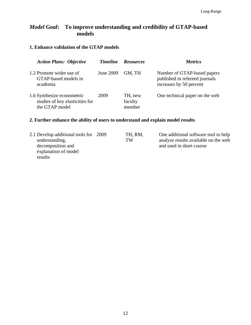# *Model Goal***: To improve understanding and credibility of GTAP-based models**

#### **1. Enhance validation of the GTAP models**

| <b>Action Plans: Objective</b>                                                  | <b>Timeline</b> | <b>Resources</b>             | <i>Metrics</i>                                                                           |
|---------------------------------------------------------------------------------|-----------------|------------------------------|------------------------------------------------------------------------------------------|
| 1.2 Promote wider use of<br>GTAP-based models in<br>academia                    | June 2009       | GM, TH                       | Number of GTAP-based papers<br>published in refereed journals<br>increases by 50 percent |
| 1.6 Synthesize econometric<br>studies of key elasticities for<br>the GTAP model | 2009            | TH, new<br>faculty<br>member | One technical paper on the web                                                           |

#### **2. Further enhance the ability of users to understand and explain model results**

| 2.1 Develop additional tools for 2009 | TH, RM, | One additional software tool to help |
|---------------------------------------|---------|--------------------------------------|
| understanding,                        | TW      | analyze results available on the web |
| decomposition and                     |         | and used in short course             |
| explanation of model                  |         |                                      |
| results                               |         |                                      |